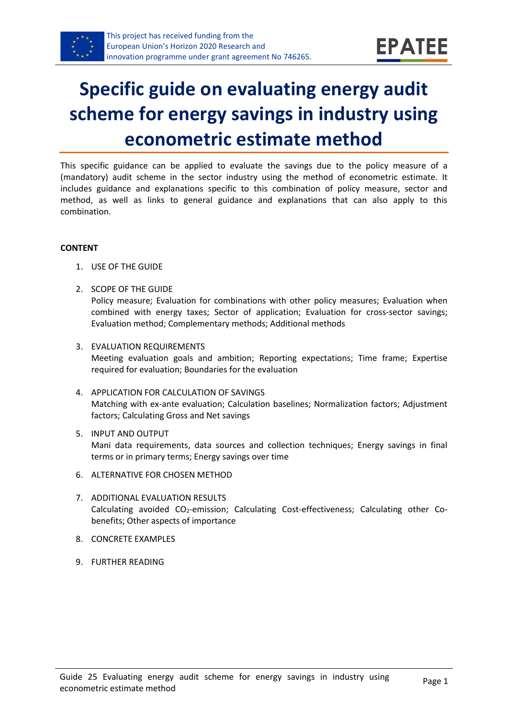

# **Specific guide on evaluating energy audit scheme for energy savings in industry using econometric estimate method**

This specific guidance can be applied to evaluate the savings due to the policy measure of a (mandatory) audit scheme in the sector industry using the method of econometric estimate. It includes guidance and explanations specific to this combination of policy measure, sector and method, as well as links to general guidance and explanations that can also apply to this combination.

#### **CONTENT**

- 1. USE OF THE GUIDE
- <span id="page-0-1"></span>2. SCOPE OF THE GUIDE Policy measure; Evaluation for combinations with other policy measures; Evaluation when combined with energy taxes; Sector of application; Evaluation for cross-sector savings; Evaluation method; Complementary methods; Additional methods
- <span id="page-0-2"></span>3. EVALUATION REQUIREMENTS Meeting evaluation goals and ambition; Reporting expectations; Time frame; Expertise required for evaluation; Boundaries for the evaluation
- <span id="page-0-3"></span>4. APPLICATION FOR CALCULATION OF SAVINGS Matching with ex-ante evaluation; Calculation baselines; Normalization factors; Adjustment factors; Calculating Gross and Net savings
- <span id="page-0-4"></span>5. INPUT AND OUTPUT Mani data requirements, data sources and collection techniques; Energy savings in final terms or in primary terms; Energy savings over time
- <span id="page-0-0"></span>6. ALTERNATIVE FOR CHOSEN METHOD
- <span id="page-0-5"></span>7. ADDITIONAL EVALUATION RESULTS Calculating avoided CO<sub>2</sub>-emission; Calculating Cost-effectiveness; Calculating other Cobenefits; Other aspects of importance
- <span id="page-0-6"></span>8. CONCRETE EXAMPLES
- <span id="page-0-7"></span>9. FURTHER READING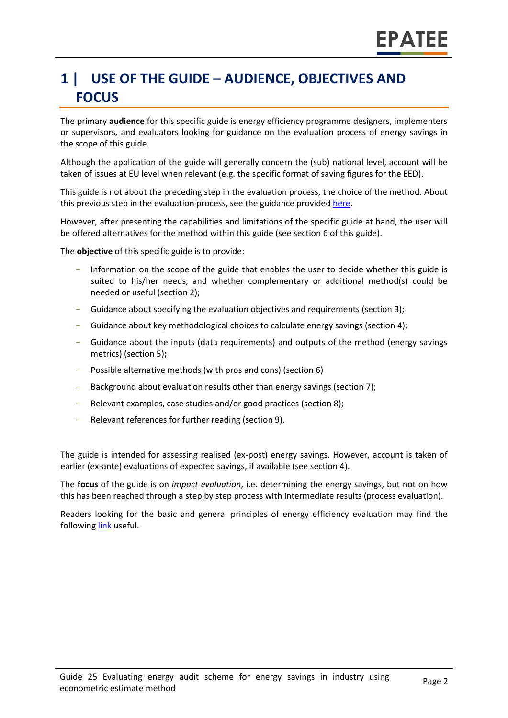# **1 | USE OF THE GUIDE – AUDIENCE, OBJECTIVES AND FOCUS**

The primary **audience** for this specific guide is energy efficiency programme designers, implementers or supervisors, and evaluators looking for guidance on the evaluation process of energy savings in the scope of this guide.

Although the application of the guide will generally concern the (sub) national level, account will be taken of issues at EU level when relevant (e.g. the specific format of saving figures for the EED).

This guide is not about the preceding step in the evaluation process, the choice of the method. About this previous step in the evaluation process, see the guidance provided [here.](https://www.epatee-toolbox.eu/wp-content/uploads/2019/04/epatee_integrating_evaluation_into_policy_cycle.pdf)

However, after presenting the capabilities and limitations of the specific guide at hand, the user will be offered alternatives for the method within this guide (see sectio[n 6](#page-0-0) of this guide).

The **objective** of this specific guide is to provide:

- Information on the scope of the guide that enables the user to decide whether this guide is suited to his/her needs, and whether complementary or additional method(s) could be needed or useful (sectio[n 2\)](#page-0-1);
- Guidance about specifying the evaluation objectives and requirements (section [3\)](#page-0-2);
- Guidance about key methodological choices to calculate energy savings (section [4\)](#page-0-3);
- Guidance about the inputs (data requirements) and outputs of the method (energy savings metrics) (sectio[n 5\)](#page-0-4)**;**
- Possible alternative methods (with pros and cons) (section [6\)](#page-0-0)
- Background about evaluation results other than energy savings (sectio[n 7\)](#page-0-5);
- Relevant examples, case studies and/or good practices (section [8\)](#page-0-6);
- Relevant references for further reading (section [9\)](#page-0-7).

The guide is intended for assessing realised (ex-post) energy savings. However, account is taken of earlier (ex-ante) evaluations of expected savings, if available (see section [4\)](#page-0-3).

The **focus** of the guide is on *impact evaluation*, i.e. determining the energy savings, but not on how this has been reached through a step by step process with intermediate results (process evaluation).

Readers looking for the basic and general principles of energy efficiency evaluation may find the followin[g link](https://www.epatee-toolbox.eu/evaluation-principles-and-methods/) useful.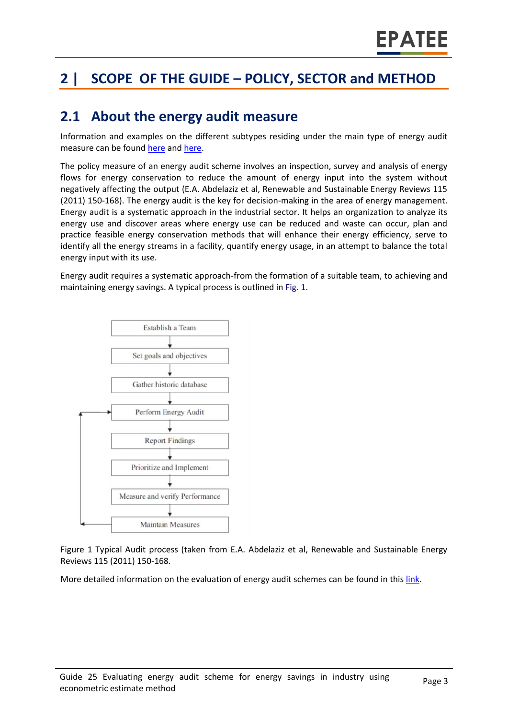# **2 | SCOPE OF THE GUIDE – POLICY, SECTOR and METHOD**

### **2.1 About the energy audit measure**

Information and examples on the different subtypes residing under the main type of energy audit measure can be found [here](http://www.measures-odyssee-mure.eu/) an[d here.](https://www.epatee-lib.eu/)

The policy measure of an energy audit scheme involves an inspection, survey and analysis of energy flows for energy conservation to reduce the amount of energy input into the system without negatively affecting the output (E.A. Abdelaziz et al, Renewable and Sustainable Energy Reviews 115 (2011) 150-168). The energy audit is the key for decision-making in the area of energy management. Energy audit is a systematic approach in the industrial sector. It helps an organization to analyze its energy use and discover areas where energy use can be reduced and waste can occur, plan and practice feasible energy conservation methods that will enhance their energy efficiency, serve to identify all the energy streams in a facility, quantify energy usage, in an attempt to balance the total energy input with its use.

Energy audit requires a systematic approach-from the formation of a suitable team, to achieving and maintaining energy savings. A typical process is outlined in Fig. 1.



Figure 1 Typical Audit process (taken from E.A. Abdelaziz et al, Renewable and Sustainable Energy Reviews 115 (2011) 150-168.

More detailed information on the evaluation of energy audit schemes can be found in thi[s link.](https://www.epatee-lib.eu/media/docs/EMEEES_WP2_D1_Assessment_existing_evaluation_2008-04-21.pdf)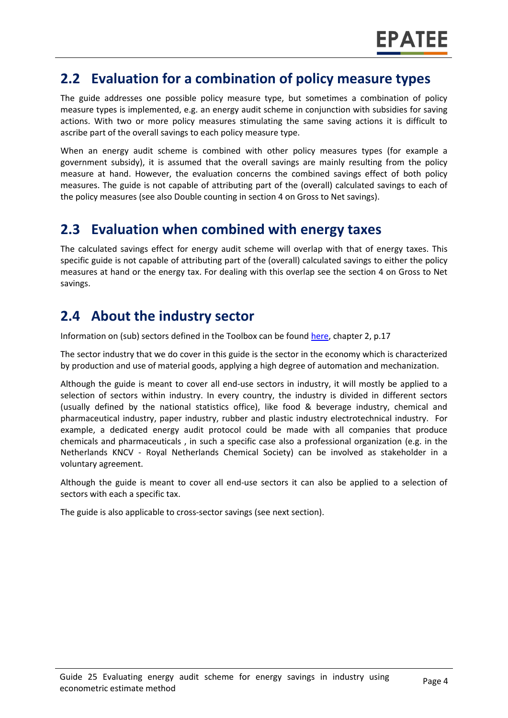### **2.2 Evaluation for a combination of policy measure types**

The guide addresses one possible policy measure type, but sometimes a combination of policy measure types is implemented, e.g. an energy audit scheme in conjunction with subsidies for saving actions. With two or more policy measures stimulating the same saving actions it is difficult to ascribe part of the overall savings to each policy measure type.

When an energy audit scheme is combined with other policy measures types (for example a government subsidy), it is assumed that the overall savings are mainly resulting from the policy measure at hand. However, the evaluation concerns the combined savings effect of both policy measures. The guide is not capable of attributing part of the (overall) calculated savings to each of the policy measures (see also Double counting in section [4](#page-0-3) on Gross to Net savings).

### **2.3 Evaluation when combined with energy taxes**

The calculated savings effect for energy audit scheme will overlap with that of energy taxes. This specific guide is not capable of attributing part of the (overall) calculated savings to either the policy measures at hand or the energy tax. For dealing with this overlap see the section [4](#page-0-3) on Gross to Net savings.

### **2.4 About the industry sector**

Information on (sub) sectors defined in the Toolbox can be foun[d here,](https://www.epatee-toolbox.eu/wp-content/uploads/2018/10/Definitions-and-typologies-related-to-energy-savings-evaluation.pdf) chapter 2, p.17

The sector industry that we do cover in this guide is the sector in the economy which is characterized by production and use of material goods, applying a high degree of automation and mechanization.

Although the guide is meant to cover all end-use sectors in industry, it will mostly be applied to a selection of sectors within industry. In every country, the industry is divided in different sectors (usually defined by the national statistics office), like food & beverage industry, chemical and pharmaceutical industry, paper industry, rubber and plastic industry electrotechnical industry. For example, a dedicated energy audit protocol could be made with all companies that produce chemicals and pharmaceuticals , in such a specific case also a professional organization (e.g. in the Netherlands KNCV - Royal Netherlands Chemical Society) can be involved as stakeholder in a voluntary agreement.

Although the guide is meant to cover all end-use sectors it can also be applied to a selection of sectors with each a specific tax.

The guide is also applicable to cross-sector savings (see next section).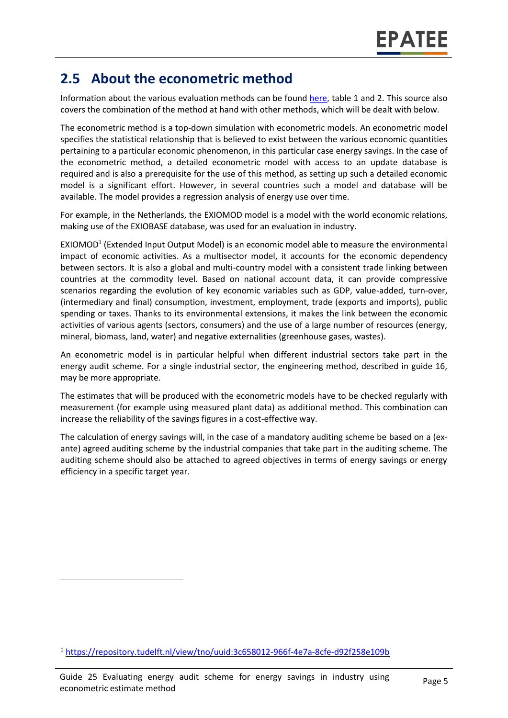### **2.5 About the econometric method**

Information about the various evaluation methods can be found [here,](https://www.epatee-toolbox.eu/wp-content/uploads/2019/04/Saving_calculation_methods_for_EPATEE_Toobox_2019_04_24.pdf) table 1 and 2. This source also covers the combination of the method at hand with other methods, which will be dealt with below.

The econometric method is a top-down simulation with econometric models. An econometric model specifies the statistical relationship that is believed to exist between the various economic quantities pertaining to a particular economic phenomenon, in this particular case energy savings. In the case of the econometric method, a detailed econometric model with access to an update database is required and is also a prerequisite for the use of this method, as setting up such a detailed economic model is a significant effort. However, in several countries such a model and database will be available. The model provides a regression analysis of energy use over time.

For example, in the Netherlands, the EXIOMOD model is a model with the world economic relations, making use of the EXIOBASE database, was used for an evaluation in industry.

EXIOMOD<sup>1</sup> (Extended Input Output Model) is an economic model able to measure the environmental impact of economic activities. As a multisector model, it accounts for the economic dependency between sectors. It is also a global and multi-country model with a consistent trade linking between countries at the commodity level. Based on national account data, it can provide compressive scenarios regarding the evolution of key economic variables such as GDP, value-added, turn-over, (intermediary and final) consumption, investment, employment, trade (exports and imports), public spending or taxes. Thanks to its environmental extensions, it makes the link between the economic activities of various agents (sectors, consumers) and the use of a large number of resources (energy, mineral, biomass, land, water) and negative externalities (greenhouse gases, wastes).

An econometric model is in particular helpful when different industrial sectors take part in the energy audit scheme. For a single industrial sector, the engineering method, described in guide 16, may be more appropriate.

The estimates that will be produced with the econometric models have to be checked regularly with measurement (for example using measured plant data) as additional method. This combination can increase the reliability of the savings figures in a cost-effective way.

The calculation of energy savings will, in the case of a mandatory auditing scheme be based on a (exante) agreed auditing scheme by the industrial companies that take part in the auditing scheme. The auditing scheme should also be attached to agreed objectives in terms of energy savings or energy efficiency in a specific target year.

 $\overline{\phantom{a}}$ 

<sup>1</sup> <https://repository.tudelft.nl/view/tno/uuid:3c658012-966f-4e7a-8cfe-d92f258e109b>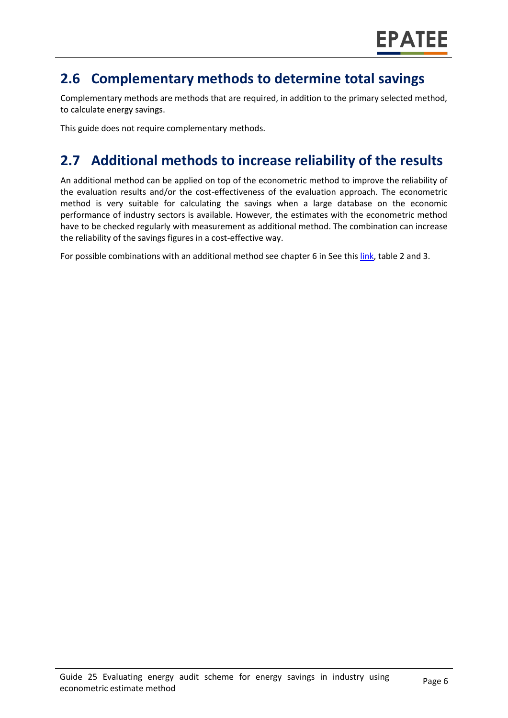### **2.6 Complementary methods to determine total savings**

Complementary methods are methods that are required, in addition to the primary selected method, to calculate energy savings.

This guide does not require complementary methods.

# **2.7 Additional methods to increase reliability of the results**

An additional method can be applied on top of the econometric method to improve the reliability of the evaluation results and/or the cost-effectiveness of the evaluation approach. The econometric method is very suitable for calculating the savings when a large database on the economic performance of industry sectors is available. However, the estimates with the econometric method have to be checked regularly with measurement as additional method. The combination can increase the reliability of the savings figures in a cost-effective way.

For possible combinations with an additional method see chapter 6 in See this [link,](https://www.epatee-toolbox.eu/wp-content/uploads/2019/04/Saving_calculation_methods_for_EPATEE_Toobox_2019_04_24.pdf) table 2 and 3.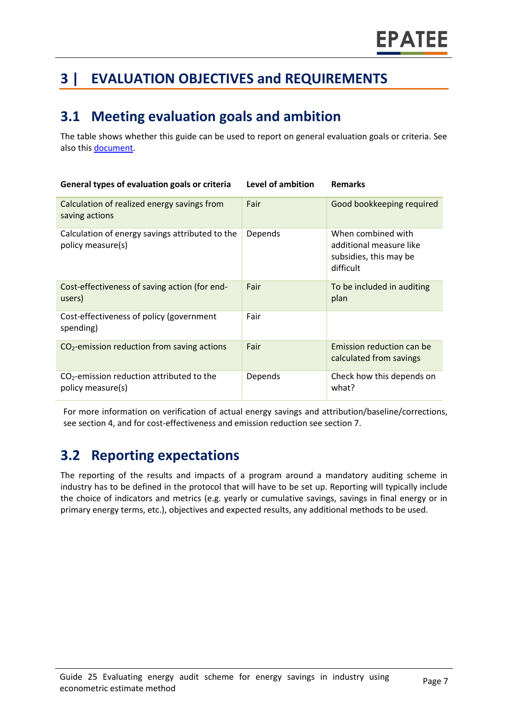# **3 | EVALUATION OBJECTIVES and REQUIREMENTS**

# **3.1 Meeting evaluation goals and ambition**

The table shows whether this guide can be used to report on general evaluation goals or criteria. See also this [document.](https://www.epatee-lib.eu/media/docs/D4_EMEEES_Final.pdf)

| General types of evaluation goals or criteria                        | Level of ambition | <b>Remarks</b>                                                                       |
|----------------------------------------------------------------------|-------------------|--------------------------------------------------------------------------------------|
| Calculation of realized energy savings from<br>saving actions        | Fair              | Good bookkeeping required                                                            |
| Calculation of energy savings attributed to the<br>policy measure(s) | Depends           | When combined with<br>additional measure like<br>subsidies, this may be<br>difficult |
| Cost-effectiveness of saving action (for end-<br>users)              | Fair              | To be included in auditing<br>plan                                                   |
| Cost-effectiveness of policy (government<br>spending)                | Fair              |                                                                                      |
| $CO2$ -emission reduction from saving actions                        | Fair              | Emission reduction can be<br>calculated from savings                                 |
| $CO2$ -emission reduction attributed to the<br>policy measure(s)     | Depends           | Check how this depends on<br>what?                                                   |

For more information on verification of actual energy savings and attribution/baseline/corrections, see sectio[n 4,](#page-0-3) and for cost-effectiveness and emission reduction see section [7.](#page-0-5)

# **3.2 Reporting expectations**

The reporting of the results and impacts of a program around a mandatory auditing scheme in industry has to be defined in the protocol that will have to be set up. Reporting will typically include the choice of indicators and metrics (e.g. yearly or cumulative savings, savings in final energy or in primary energy terms, etc.), objectives and expected results, any additional methods to be used.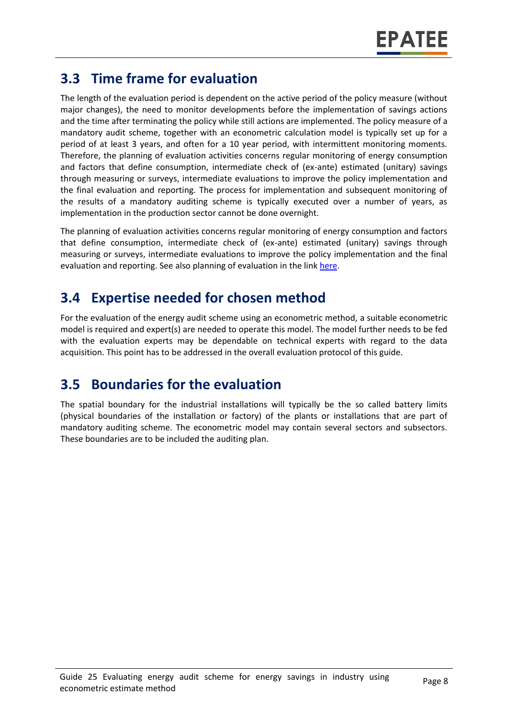# **3.3 Time frame for evaluation**

The length of the evaluation period is dependent on the active period of the policy measure (without major changes), the need to monitor developments before the implementation of savings actions and the time after terminating the policy while still actions are implemented. The policy measure of a mandatory audit scheme, together with an econometric calculation model is typically set up for a period of at least 3 years, and often for a 10 year period, with intermittent monitoring moments. Therefore, the planning of evaluation activities concerns regular monitoring of energy consumption and factors that define consumption, intermediate check of (ex-ante) estimated (unitary) savings through measuring or surveys, intermediate evaluations to improve the policy implementation and the final evaluation and reporting. The process for implementation and subsequent monitoring of the results of a mandatory auditing scheme is typically executed over a number of years, as implementation in the production sector cannot be done overnight.

The planning of evaluation activities concerns regular monitoring of energy consumption and factors that define consumption, intermediate check of (ex-ante) estimated (unitary) savings through measuring or surveys, intermediate evaluations to improve the policy implementation and the final evaluation and reporting. See also planning of evaluation in the lin[k here.](https://www.epatee-toolbox.eu/wp-content/uploads/2019/04/epatee_integrating_evaluation_into_policy_cycle.pdf)

# **3.4 Expertise needed for chosen method**

For the evaluation of the energy audit scheme using an econometric method, a suitable econometric model is required and expert(s) are needed to operate this model. The model further needs to be fed with the evaluation experts may be dependable on technical experts with regard to the data acquisition. This point has to be addressed in the overall evaluation protocol of this guide.

# **3.5 Boundaries for the evaluation**

The spatial boundary for the industrial installations will typically be the so called battery limits (physical boundaries of the installation or factory) of the plants or installations that are part of mandatory auditing scheme. The econometric model may contain several sectors and subsectors. These boundaries are to be included the auditing plan.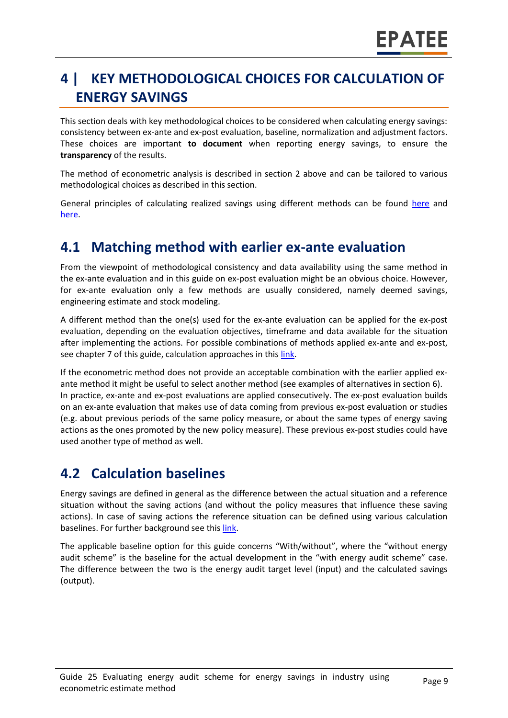# **4 | KEY METHODOLOGICAL CHOICES FOR CALCULATION OF ENERGY SAVINGS**

This section deals with key methodological choices to be considered when calculating energy savings: consistency between ex-ante and ex-post evaluation, baseline, normalization and adjustment factors. These choices are important **to document** when reporting energy savings, to ensure the **transparency** of the results.

The method of econometric analysis is described in section [2](#page-0-1) above and can be tailored to various methodological choices as described in this section.

General principles of calculating realized savings using different methods can be found [here](https://www.epatee-lib.eu/media/docs/D4_EMEEES_Final.pdf) and [here.](https://www.epatee-lib.eu/media/docs/EMEEES_WP3_Report_Final.pdf)

### **4.1 Matching method with earlier ex-ante evaluation**

From the viewpoint of methodological consistency and data availability using the same method in the ex-ante evaluation and in this guide on ex-post evaluation might be an obvious choice. However, for ex-ante evaluation only a few methods are usually considered, namely deemed savings, engineering estimate and stock modeling.

A different method than the one(s) used for the ex-ante evaluation can be applied for the ex-post evaluation, depending on the evaluation objectives, timeframe and data available for the situation after implementing the actions. For possible combinations of methods applied ex-ante and ex-post, see chapte[r 7](#page-0-5) of this guide, calculation approaches in this [link.](https://www.epatee-toolbox.eu/wp-content/uploads/2019/04/Saving_calculation_methods_for_EPATEE_Toobox_2019_04_24.pdf)

If the econometric method does not provide an acceptable combination with the earlier applied exante method it might be useful to select another method (see examples of alternatives in section [6\)](#page-0-0). In practice, ex-ante and ex-post evaluations are applied consecutively. The ex-post evaluation builds on an ex-ante evaluation that makes use of data coming from previous ex-post evaluation or studies (e.g. about previous periods of the same policy measure, or about the same types of energy saving actions as the ones promoted by the new policy measure). These previous ex-post studies could have used another type of method as well.

### **4.2 Calculation baselines**

Energy savings are defined in general as the difference between the actual situation and a reference situation without the saving actions (and without the policy measures that influence these saving actions). In case of saving actions the reference situation can be defined using various calculation baselines. For further background see this [link.](https://www.epatee-toolbox.eu/wp-content/uploads/2019/04/Saving_calculation_methods_for_EPATEE_Toobox_2019_04_24.pdf)

The applicable baseline option for this guide concerns "With/without", where the "without energy audit scheme" is the baseline for the actual development in the "with energy audit scheme" case. The difference between the two is the energy audit target level (input) and the calculated savings (output).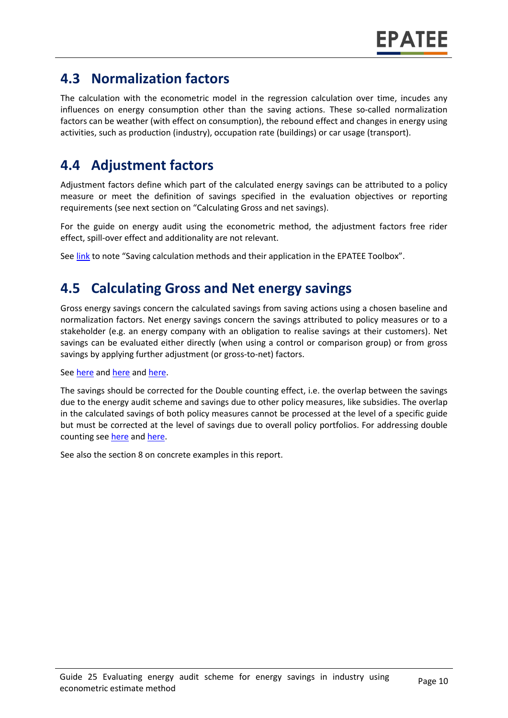### **4.3 Normalization factors**

The calculation with the econometric model in the regression calculation over time, incudes any influences on energy consumption other than the saving actions. These so-called normalization factors can be weather (with effect on consumption), the rebound effect and changes in energy using activities, such as production (industry), occupation rate (buildings) or car usage (transport).

# **4.4 Adjustment factors**

Adjustment factors define which part of the calculated energy savings can be attributed to a policy measure or meet the definition of savings specified in the evaluation objectives or reporting requirements (see next section on "Calculating Gross and net savings).

For the guide on energy audit using the econometric method, the adjustment factors free rider effect, spill-over effect and additionality are not relevant.

Se[e link](https://www.epatee-toolbox.eu/wp-content/uploads/2019/04/Saving_calculation_methods_for_EPATEE_Toobox_2019_04_24.pdf) to note "Saving calculation methods and their application in the EPATEE Toolbox".

### **4.5 Calculating Gross and Net energy savings**

Gross energy savings concern the calculated savings from saving actions using a chosen baseline and normalization factors. Net energy savings concern the savings attributed to policy measures or to a stakeholder (e.g. an energy company with an obligation to realise savings at their customers). Net savings can be evaluated either directly (when using a control or comparison group) or from gross savings by applying further adjustment (or gross-to-net) factors.

#### Se[e here](https://www.epatee-lib.eu/media/docs/EMEEES_WP2_D1_Assessment_existing_evaluation_2008-04-21.pdf) and [here](https://www.academia.edu/14979876/Evaluating_energy_efficiency_policy_measures_and_DSM_programmes) and [here.](https://www.epatee-lib.eu/media/docs/D4_EMEEES_Final.pdf)

The savings should be corrected for the Double counting effect, i.e. the overlap between the savings due to the energy audit scheme and savings due to other policy measures, like subsidies. The overlap in the calculated savings of both policy measures cannot be processed at the level of a specific guide but must be corrected at the level of savings due to overall policy portfolios. For addressing double counting see [here](https://www.academia.edu/14979876/Evaluating_energy_efficiency_policy_measures_and_DSM_programmes) an[d here.](https://www.epatee-lib.eu/media/docs/D4_EMEEES_Final.pdf)

See also the section [8](#page-0-6) on concrete examples in this report.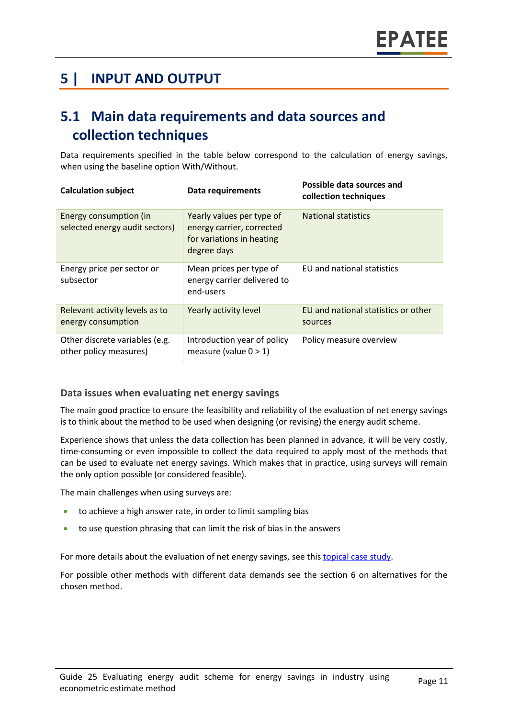# **5 | INPUT AND OUTPUT**

# **5.1 Main data requirements and data sources and collection techniques**

Data requirements specified in the table below correspond to the calculation of energy savings, when using the baseline option With/Without.

| <b>Calculation subject</b>                               | Data requirements                                                                                  | Possible data sources and<br>collection techniques |
|----------------------------------------------------------|----------------------------------------------------------------------------------------------------|----------------------------------------------------|
| Energy consumption (in<br>selected energy audit sectors) | Yearly values per type of<br>energy carrier, corrected<br>for variations in heating<br>degree days | <b>National statistics</b>                         |
| Energy price per sector or<br>subsector                  | Mean prices per type of<br>energy carrier delivered to<br>end-users                                | EU and national statistics                         |
| Relevant activity levels as to<br>energy consumption     | Yearly activity level                                                                              | EU and national statistics or other<br>sources     |
| Other discrete variables (e.g.<br>other policy measures) | Introduction year of policy<br>measure (value $0 > 1$ )                                            | Policy measure overview                            |

#### **Data issues when evaluating net energy savings**

The main good practice to ensure the feasibility and reliability of the evaluation of net energy savings is to think about the method to be used when designing (or revising) the energy audit scheme.

Experience shows that unless the data collection has been planned in advance, it will be very costly, time-consuming or even impossible to collect the data required to apply most of the methods that can be used to evaluate net energy savings. Which makes that in practice, using surveys will remain the only option possible (or considered feasible).

The main challenges when using surveys are:

- to achieve a high answer rate, in order to limit sampling bias
- to use question phrasing that can limit the risk of bias in the answers

For more details about the evaluation of net energy savings, see thi[s topical case study.](https://www.epatee-toolbox.eu/wp-content/uploads/2018/10/epatee_topical_case_study_evaluating_net_energy_savings.pdf)

For possible other methods with different data demands see the section [6](#page-0-0) on alternatives for the chosen method.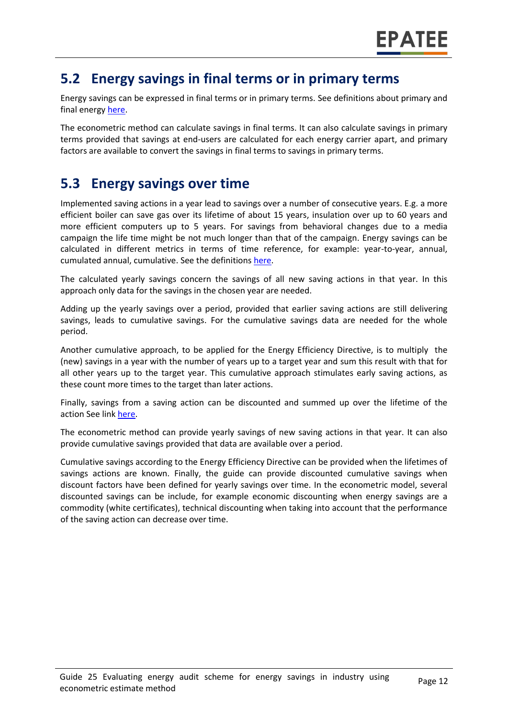### **5.2 Energy savings in final terms or in primary terms**

Energy savings can be expressed in final terms or in primary terms. See definitions about primary and final energy [here.](https://www.epatee-toolbox.eu/wp-content/uploads/2018/10/Definitions-and-typologies-related-to-energy-savings-evaluation.pdf)

The econometric method can calculate savings in final terms. It can also calculate savings in primary terms provided that savings at end-users are calculated for each energy carrier apart, and primary factors are available to convert the savings in final terms to savings in primary terms.

### **5.3 Energy savings over time**

Implemented saving actions in a year lead to savings over a number of consecutive years. E.g. a more efficient boiler can save gas over its lifetime of about 15 years, insulation over up to 60 years and more efficient computers up to 5 years. For savings from behavioral changes due to a media campaign the life time might be not much longer than that of the campaign. Energy savings can be calculated in different metrics in terms of time reference, for example: year-to-year, annual, cumulated annual, cumulative. See the definitions [here.](https://www.epatee-toolbox.eu/wp-content/uploads/2018/10/Definitions-and-typologies-related-to-energy-savings-evaluation.pdf)

The calculated yearly savings concern the savings of all new saving actions in that year. In this approach only data for the savings in the chosen year are needed.

Adding up the yearly savings over a period, provided that earlier saving actions are still delivering savings, leads to cumulative savings. For the cumulative savings data are needed for the whole period.

Another cumulative approach, to be applied for the Energy Efficiency Directive, is to multiply the (new) savings in a year with the number of years up to a target year and sum this result with that for all other years up to the target year. This cumulative approach stimulates early saving actions, as these count more times to the target than later actions.

Finally, savings from a saving action can be discounted and summed up over the lifetime of the action See link [here.](https://www.epatee-toolbox.eu/wp-content/uploads/2018/10/Definitions-and-typologies-related-to-energy-savings-evaluation.pdf)

The econometric method can provide yearly savings of new saving actions in that year. It can also provide cumulative savings provided that data are available over a period.

Cumulative savings according to the Energy Efficiency Directive can be provided when the lifetimes of savings actions are known. Finally, the guide can provide discounted cumulative savings when discount factors have been defined for yearly savings over time. In the econometric model, several discounted savings can be include, for example economic discounting when energy savings are a commodity (white certificates), technical discounting when taking into account that the performance of the saving action can decrease over time.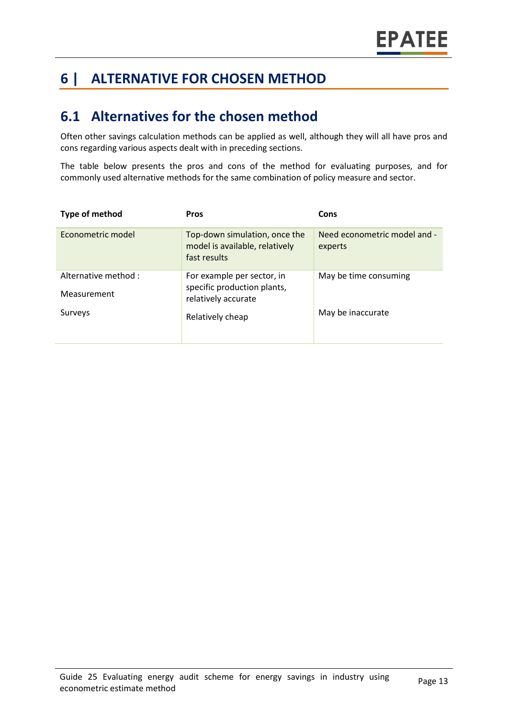# **6 | ALTERNATIVE FOR CHOSEN METHOD**

### **6.1 Alternatives for the chosen method**

Often other savings calculation methods can be applied as well, although they will all have pros and cons regarding various aspects dealt with in preceding sections.

The table below presents the pros and cons of the method for evaluating purposes, and for commonly used alternative methods for the same combination of policy measure and sector.

| Type of method                      | <b>Pros</b>                                                                      | Cons                                    |
|-------------------------------------|----------------------------------------------------------------------------------|-----------------------------------------|
| Econometric model                   | Top-down simulation, once the<br>model is available, relatively<br>fast results  | Need econometric model and -<br>experts |
| Alternative method :<br>Measurement | For example per sector, in<br>specific production plants,<br>relatively accurate | May be time consuming                   |
| Surveys                             | Relatively cheap                                                                 | May be inaccurate                       |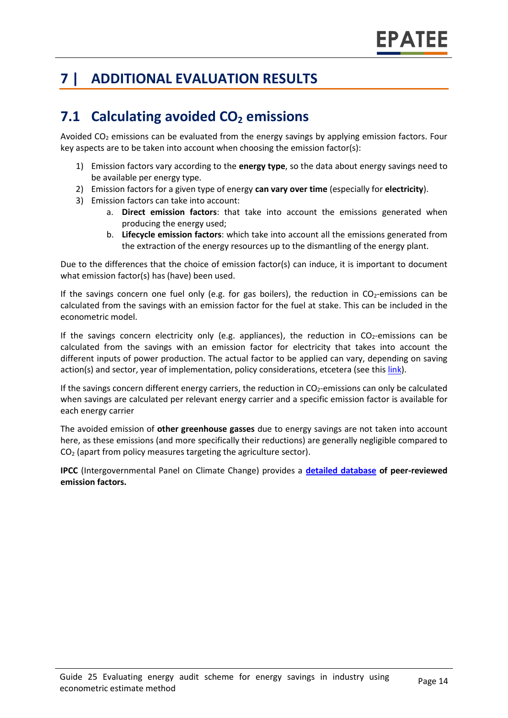# **7 | ADDITIONAL EVALUATION RESULTS**

# **7.1 Calculating avoided CO<sup>2</sup> emissions**

Avoided  $CO<sub>2</sub>$  emissions can be evaluated from the energy savings by applying emission factors. Four key aspects are to be taken into account when choosing the emission factor(s):

- 1) Emission factors vary according to the **energy type**, so the data about energy savings need to be available per energy type.
- 2) Emission factors for a given type of energy **can vary over time** (especially for **electricity**).
- 3) Emission factors can take into account:
	- a. **Direct emission factors**: that take into account the emissions generated when producing the energy used;
	- b. **Lifecycle emission factors**: which take into account all the emissions generated from the extraction of the energy resources up to the dismantling of the energy plant.

Due to the differences that the choice of emission factor(s) can induce, it is important to document what emission factor(s) has (have) been used.

If the savings concern one fuel only (e.g. for gas boilers), the reduction in  $CO<sub>2</sub>$ -emissions can be calculated from the savings with an emission factor for the fuel at stake. This can be included in the econometric model.

If the savings concern electricity only (e.g. appliances), the reduction in  $CO<sub>2</sub>$ -emissions can be calculated from the savings with an emission factor for electricity that takes into account the different inputs of power production. The actual factor to be applied can vary, depending on saving action(s) and sector, year of implementation, policy considerations, etcetera (see thi[s link\)](https://www.researchgate.net/publication/222601305_Evaluation_of_methods_used_to_determine_realized_energy_savings).

If the savings concern different energy carriers, the reduction in  $CO<sub>2</sub>$ -emissions can only be calculated when savings are calculated per relevant energy carrier and a specific emission factor is available for each energy carrier

The avoided emission of **other greenhouse gasses** due to energy savings are not taken into account here, as these emissions (and more specifically their reductions) are generally negligible compared to CO<sup>2</sup> (apart from policy measures targeting the agriculture sector).

**IPCC** (Intergovernmental Panel on Climate Change) provides a **[detailed database](https://www.ipcc-nggip.iges.or.jp/EFDB/main.php) of peer-reviewed emission factors.**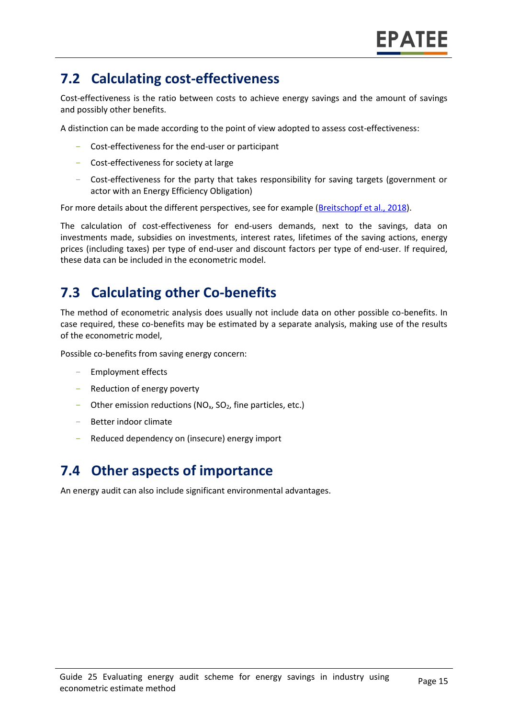# **7.2 Calculating cost-effectiveness**

Cost-effectiveness is the ratio between costs to achieve energy savings and the amount of savings and possibly other benefits.

A distinction can be made according to the point of view adopted to assess cost-effectiveness:

- Cost-effectiveness for the end-user or participant
- Cost-effectiveness for society at large
- Cost-effectiveness for the party that takes responsibility for saving targets (government or actor with an Energy Efficiency Obligation)

For more details about the different perspectives, see for example [\(Breitschopf](https://epatee.eu/system/tdf/epatee_report_on_the_knowledge_base.pdf?file=1&type=node&id=29&force=1) et al., 2018).

The calculation of cost-effectiveness for end-users demands, next to the savings, data on investments made, subsidies on investments, interest rates, lifetimes of the saving actions, energy prices (including taxes) per type of end-user and discount factors per type of end-user. If required, these data can be included in the econometric model.

### **7.3 Calculating other Co-benefits**

The method of econometric analysis does usually not include data on other possible co-benefits. In case required, these co-benefits may be estimated by a separate analysis, making use of the results of the econometric model,

Possible co-benefits from saving energy concern:

- Employment effects
- Reduction of energy poverty
- Other emission reductions ( $NO<sub>x</sub>$ ,  $SO<sub>2</sub>$ , fine particles, etc.)
- Better indoor climate
- Reduced dependency on (insecure) energy import

### **7.4 Other aspects of importance**

An energy audit can also include significant environmental advantages.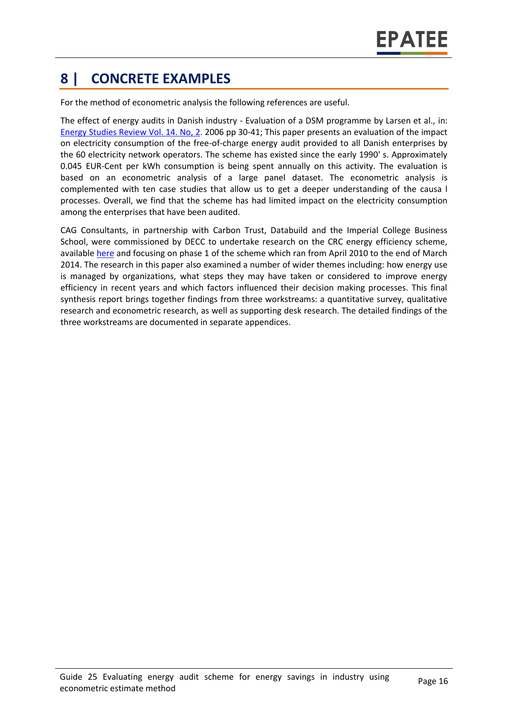# **8 | CONCRETE EXAMPLES**

For the method of econometric analysis the following references are useful.

The effect of energy audits in Danish industry - Evaluation of a DSM programme by Larsen et al., in: [Energy Studies Review Vol. 14. No, 2.](https://www.epatee-lib.eu/en/author/?af_sent=1&first_author=Larsen+et+al.%2C) 2006 pp 30-41; This paper presents an evaluation of the impact on electricity consumption of the free-of-charge energy audit provided to all Danish enterprises by the 60 electricity network operators. The scheme has existed since the early 1990' s. Approximately 0.045 EUR-Cent per kWh consumption is being spent annually on this activity. The evaluation is based on an econometric analysis of a large panel dataset. The econometric analysis is complemented with ten case studies that allow us to get a deeper understanding of the causa l processes. Overall, we find that the scheme has had limited impact on the electricity consumption among the enterprises that have been audited.

CAG Consultants, in partnership with Carbon Trust, Databuild and the Imperial College Business School, were commissioned by DECC to undertake research on the CRC energy efficiency scheme, available [here](https://www.gov.uk/government/publications/evaluation-of-the-crc-energy-efficiency-scheme) and focusing on phase 1 of the scheme which ran from April 2010 to the end of March 2014. The research in this paper also examined a number of wider themes including: how energy use is managed by organizations, what steps they may have taken or considered to improve energy efficiency in recent years and which factors influenced their decision making processes. This final synthesis report brings together findings from three workstreams: a quantitative survey, qualitative research and econometric research, as well as supporting desk research. The detailed findings of the three workstreams are documented in separate appendices.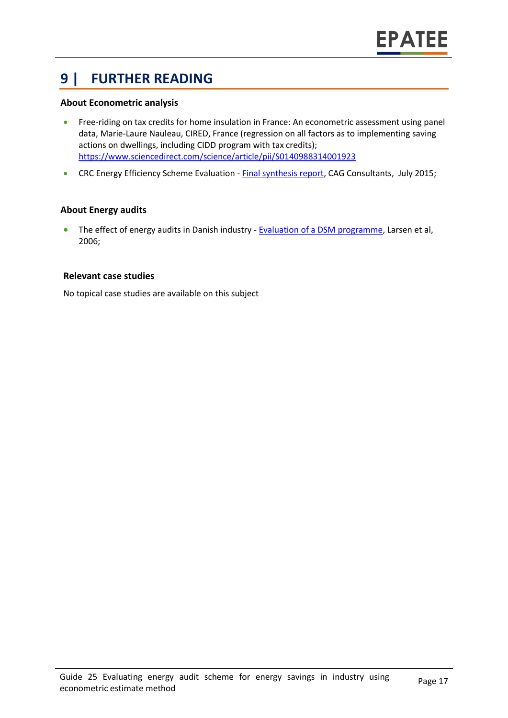# **9 | FURTHER READING**

#### **About Econometric analysis**

- Free-riding on tax credits for home insulation in France: An econometric assessment using panel data, Marie-Laure Nauleau, CIRED, France (regression on all factors as to implementing saving actions on dwellings, including CIDD program with tax credits); <https://www.sciencedirect.com/science/article/pii/S0140988314001923>
- CRC Energy Efficiency Scheme Evaluation [Final synthesis report,](https://www.gov.uk/government/publications/evaluation-of-the-crc-energy-efficiency-scheme) CAG Consultants, July 2015;

#### **About Energy audits**

• The effect of energy audits in Danish industry - **Evaluation of a DSM programme**, Larsen et al, 2006;

#### **Relevant case studies**

No topical case studies are available on this subject